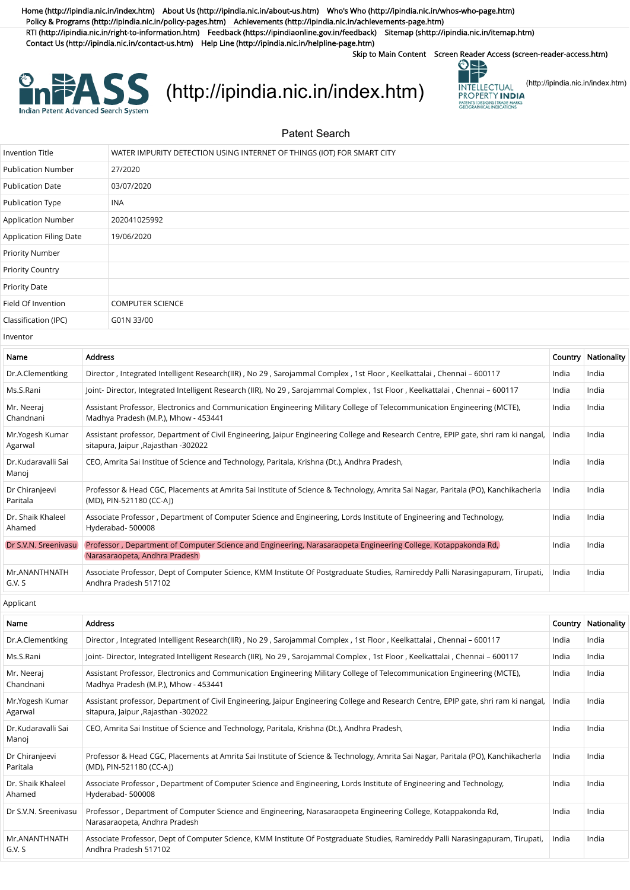[Home \(http://ipindia.nic.in/index.htm\)](http://ipindia.nic.in/index.htm) [About Us \(http://ipindia.nic.in/about-us.htm\)](http://ipindia.nic.in/about-us.htm) [Who's Who \(http://ipindia.nic.in/whos-who-page.htm\)](http://ipindia.nic.in/whos-who-page.htm) [Policy & Programs \(http://ipindia.nic.in/policy-pages.htm\)](http://ipindia.nic.in/policy-pages.htm) [Achievements \(http://ipindia.nic.in/achievements-page.htm\)](http://ipindia.nic.in/achievements-page.htm) [RTI \(http://ipindia.nic.in/right-to-information.htm\)](http://ipindia.nic.in/right-to-information.htm) [Feedback \(https://ipindiaonline.gov.in/feedback\)](https://ipindiaonline.gov.in/feedback) [Sitemap \(shttp://ipindia.nic.in/itemap.htm\)](shttp://ipindia.nic.in/itemap.htm) [Contact Us \(http://ipindia.nic.in/contact-us.htm\)](http://ipindia.nic.in/contact-us.htm) [Help Line \(http://ipindia.nic.in/helpline-page.htm\)](http://ipindia.nic.in/helpline-page.htm)

Skip to Main Content [Screen Reader Access \(screen-reader-access.htm\)](https://ipindiaservices.gov.in/PublicSearch/PublicationSearch/screen-reader-access.htm)



## **EXASS** [\(http://ipindia.nic.in/index.htm\)](http://ipindia.nic.in/index.htm) **EXASS** [\(http://ipindia.nic.in/index.htm\)](http://ipindia.nic.in/index.htm)



Patent Search

| <b>Invention Title</b>    |                | WATER IMPURITY DETECTION USING INTERNET OF THINGS (IOT) FOR SMART CITY                                                       |         |             |
|---------------------------|----------------|------------------------------------------------------------------------------------------------------------------------------|---------|-------------|
| <b>Publication Number</b> |                | 27/2020                                                                                                                      |         |             |
| <b>Publication Date</b>   |                | 03/07/2020                                                                                                                   |         |             |
| Publication Type          |                | <b>INA</b>                                                                                                                   |         |             |
| Application Number        |                | 202041025992                                                                                                                 |         |             |
| Application Filing Date   |                | 19/06/2020                                                                                                                   |         |             |
| Priority Number           |                |                                                                                                                              |         |             |
| <b>Priority Country</b>   |                |                                                                                                                              |         |             |
| <b>Priority Date</b>      |                |                                                                                                                              |         |             |
| Field Of Invention        |                | <b>COMPUTER SCIENCE</b>                                                                                                      |         |             |
| Classification (IPC)      |                | G01N 33/00                                                                                                                   |         |             |
| Inventor                  |                |                                                                                                                              |         |             |
| Name                      | <b>Address</b> |                                                                                                                              | Country | Nationality |
| Dr.A.Clementking          |                | Director, Integrated Intelligent Research(IIR), No 29, Sarojammal Complex, 1st Floor, Keelkattalai, Chennai - 600117         | India   | India       |
| Ms.S.Rani                 |                | Joint- Director, Integrated Intelligent Research (IIR), No 29, Sarojammal Complex, 1st Floor, Keelkattalai, Chennai - 600117 | India   | India       |

| Dr.A.Clementking            | Director, Integrated Intelligent Research(IIR), No 29, Sarojammal Complex, 1st Floor, Keelkattalai, Chennai - 600117                                                         | India | India |
|-----------------------------|------------------------------------------------------------------------------------------------------------------------------------------------------------------------------|-------|-------|
| Ms.S.Rani                   | Joint- Director, Integrated Intelligent Research (IIR), No 29, Sarojammal Complex, 1st Floor, Keelkattalai, Chennai - 600117                                                 | India | India |
| Mr. Neeraj<br>Chandnani     | Assistant Professor, Electronics and Communication Engineering Military College of Telecommunication Engineering (MCTE),<br>Madhya Pradesh (M.P.), Mhow - 453441             | India | India |
| Mr.Yogesh Kumar<br>Agarwal  | Assistant professor, Department of Civil Engineering, Jaipur Engineering College and Research Centre, EPIP gate, shri ram ki nangal,<br>sitapura, Jaipur , Rajasthan -302022 | India | India |
| Dr.Kudaravalli Sai<br>Manoj | CEO, Amrita Sai Institue of Science and Technology, Paritala, Krishna (Dt.), Andhra Pradesh,                                                                                 | India | India |
| Dr Chiranjeevi<br>Paritala  | Professor & Head CGC, Placements at Amrita Sai Institute of Science & Technology, Amrita Sai Nagar, Paritala (PO), Kanchikacherla<br>(MD), PIN-521180 (CC-A))                | India | India |
| Dr. Shaik Khaleel<br>Ahamed | Associate Professor, Department of Computer Science and Engineering, Lords Institute of Engineering and Technology,<br>Hyderabad-500008                                      | India | India |
| Dr S.V.N. Sreenivasu        | Professor, Department of Computer Science and Engineering, Narasaraopeta Engineering College, Kotappakonda Rd,<br>Narasaraopeta, Andhra Pradesh                              | India | India |
| Mr.ANANTHNATH<br>G.V. S     | Associate Professor, Dept of Computer Science, KMM Institute Of Postgraduate Studies, Ramireddy Palli Narasingapuram, Tirupati,<br>Andhra Pradesh 517102                     | India | India |

Applicant

| Name                        | <b>Address</b>                                                                                                                                                               | Country | Nationality |
|-----------------------------|------------------------------------------------------------------------------------------------------------------------------------------------------------------------------|---------|-------------|
| Dr.A.Clementking            | Director, Integrated Intelligent Research(IIR), No 29, Sarojammal Complex, 1st Floor, Keelkattalai, Chennai - 600117                                                         | India   | India       |
| Ms.S.Rani                   | Joint- Director, Integrated Intelligent Research (IIR), No 29, Sarojammal Complex, 1st Floor, Keelkattalai, Chennai - 600117                                                 | India   | India       |
| Mr. Neeraj<br>Chandnani     | Assistant Professor, Electronics and Communication Engineering Military College of Telecommunication Engineering (MCTE),<br>Madhya Pradesh (M.P.), Mhow - 453441             | India   | India       |
| Mr.Yogesh Kumar<br>Agarwal  | Assistant professor, Department of Civil Engineering, Jaipur Engineering College and Research Centre, EPIP gate, shri ram ki nangal,<br>sitapura, Jaipur , Rajasthan -302022 | India   | India       |
| Dr.Kudaravalli Sai<br>Manoj | CEO, Amrita Sai Institue of Science and Technology, Paritala, Krishna (Dt.), Andhra Pradesh,                                                                                 | India   | India       |
| Dr Chiranjeevi<br>Paritala  | Professor & Head CGC, Placements at Amrita Sai Institute of Science & Technology, Amrita Sai Nagar, Paritala (PO), Kanchikacherla<br>(MD), PIN-521180 (CC-AI)                | India   | India       |
| Dr. Shaik Khaleel<br>Ahamed | Associate Professor, Department of Computer Science and Engineering, Lords Institute of Engineering and Technology,<br>Hyderabad-500008                                      | India   | India       |
| Dr S.V.N. Sreeniyasu        | Professor, Department of Computer Science and Engineering, Narasaraopeta Engineering College, Kotappakonda Rd,<br>Narasaraopeta, Andhra Pradesh                              | India   | India       |
| Mr.ANANTHNATH<br>G.V. S     | Associate Professor, Dept of Computer Science, KMM Institute Of Postgraduate Studies, Ramireddy Palli Narasingapuram, Tirupati,<br>Andhra Pradesh 517102                     | India   | India       |